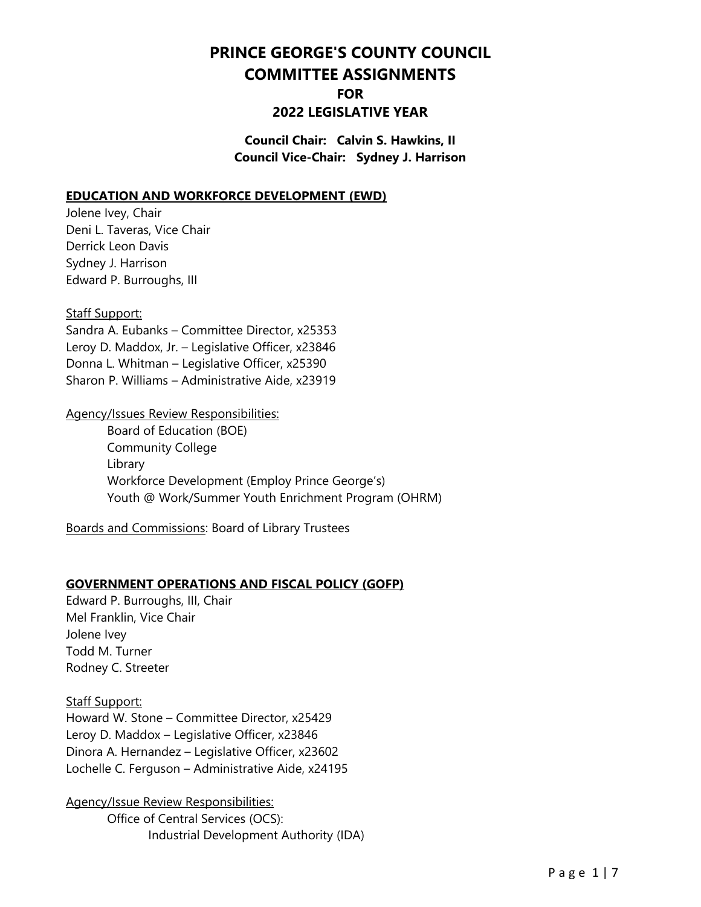# **PRINCE GEORGE'S COUNTY COUNCIL COMMITTEE ASSIGNMENTS**

# **FOR**

# **2022 LEGISLATIVE YEAR**

**Council Chair: Calvin S. Hawkins, II Council Vice-Chair: Sydney J. Harrison**

#### **EDUCATION AND WORKFORCE DEVELOPMENT (EWD)**

Jolene Ivey, Chair Deni L. Taveras, Vice Chair Derrick Leon Davis Sydney J. Harrison Edward P. Burroughs, III

#### Staff Support:

Sandra A. Eubanks – Committee Director, x25353 Leroy D. Maddox, Jr. – Legislative Officer, x23846 Donna L. Whitman – Legislative Officer, x25390 Sharon P. Williams – Administrative Aide, x23919

#### Agency/Issues Review Responsibilities:

 Board of Education (BOE) Community College Library Workforce Development (Employ Prince George's) Youth @ Work/Summer Youth Enrichment Program (OHRM)

Boards and Commissions: Board of Library Trustees

## **GOVERNMENT OPERATIONS AND FISCAL POLICY (GOFP)**

Edward P. Burroughs, III, Chair Mel Franklin, Vice Chair Jolene Ivey Todd M. Turner Rodney C. Streeter

## Staff Support:

Howard W. Stone – Committee Director, x25429 Leroy D. Maddox – Legislative Officer, x23846 Dinora A. Hernandez – Legislative Officer, x23602 Lochelle C. Ferguson – Administrative Aide, x24195

Agency/Issue Review Responsibilities: Office of Central Services (OCS): Industrial Development Authority (IDA)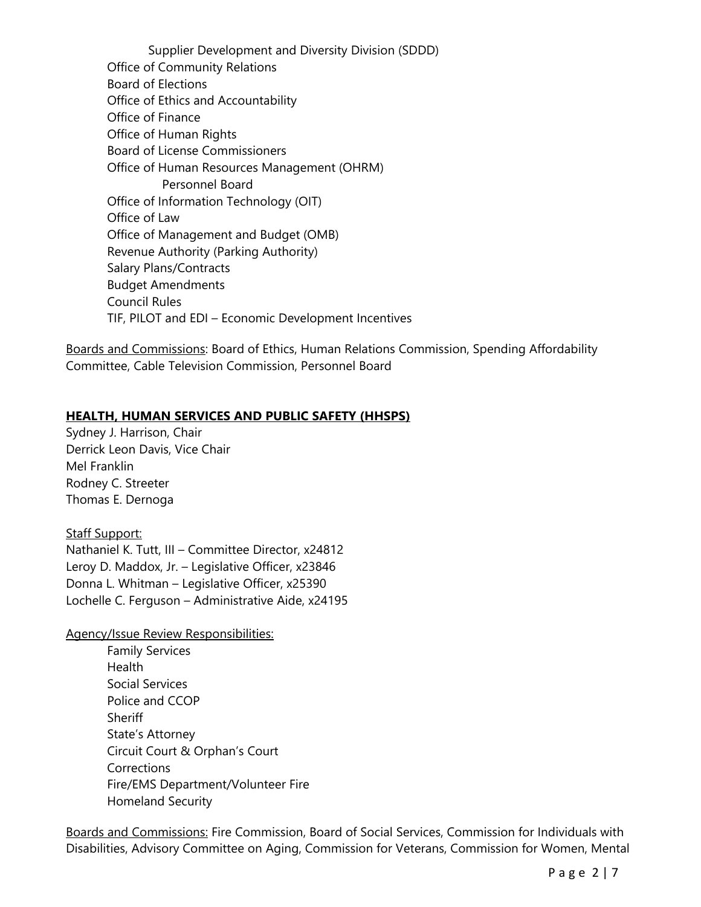Supplier Development and Diversity Division (SDDD) Office of Community Relations Board of Elections Office of Ethics and Accountability Office of Finance Office of Human Rights Board of License Commissioners Office of Human Resources Management (OHRM) Personnel Board Office of Information Technology (OIT) Office of Law Office of Management and Budget (OMB) Revenue Authority (Parking Authority) Salary Plans/Contracts Budget Amendments Council Rules TIF, PILOT and EDI – Economic Development Incentives

Boards and Commissions: Board of Ethics, Human Relations Commission, Spending Affordability Committee, Cable Television Commission, Personnel Board

## **HEALTH, HUMAN SERVICES AND PUBLIC SAFETY (HHSPS)**

Sydney J. Harrison, Chair Derrick Leon Davis, Vice Chair Mel Franklin Rodney C. Streeter Thomas E. Dernoga

Staff Support: Nathaniel K. Tutt, III – Committee Director, x24812 Leroy D. Maddox, Jr. – Legislative Officer, x23846 Donna L. Whitman – Legislative Officer, x25390 Lochelle C. Ferguson – Administrative Aide, x24195

Agency/Issue Review Responsibilities:

Family Services **Health** Social Services Police and CCOP **Sheriff** State's Attorney Circuit Court & Orphan's Court **Corrections** Fire/EMS Department/Volunteer Fire Homeland Security

Boards and Commissions: Fire Commission, Board of Social Services, Commission for Individuals with Disabilities, Advisory Committee on Aging, Commission for Veterans, Commission for Women, Mental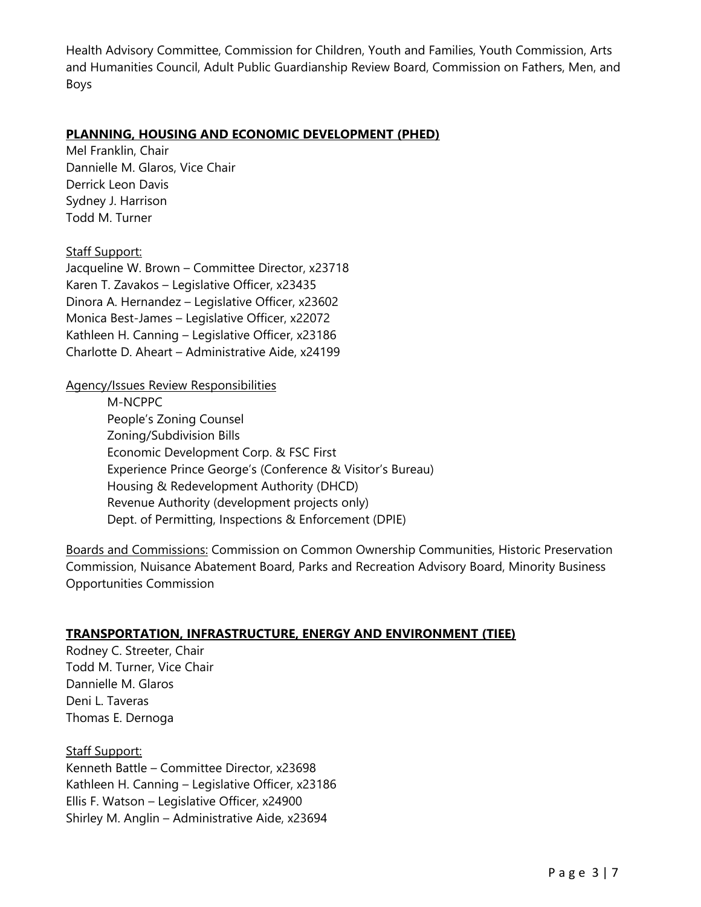Health Advisory Committee, Commission for Children, Youth and Families, Youth Commission, Arts and Humanities Council, Adult Public Guardianship Review Board, Commission on Fathers, Men, and Boys

#### **PLANNING, HOUSING AND ECONOMIC DEVELOPMENT (PHED)**

Mel Franklin, Chair Dannielle M. Glaros, Vice Chair Derrick Leon Davis Sydney J. Harrison Todd M. Turner

## Staff Support:

Jacqueline W. Brown – Committee Director, x23718 Karen T. Zavakos – Legislative Officer, x23435 Dinora A. Hernandez – Legislative Officer, x23602 Monica Best-James – Legislative Officer, x22072 Kathleen H. Canning – Legislative Officer, x23186 Charlotte D. Aheart – Administrative Aide, x24199

#### Agency/Issues Review Responsibilities

M-NCPPC People's Zoning Counsel Zoning/Subdivision Bills Economic Development Corp. & FSC First Experience Prince George's (Conference & Visitor's Bureau) Housing & Redevelopment Authority (DHCD) Revenue Authority (development projects only) Dept. of Permitting, Inspections & Enforcement (DPIE)

Boards and Commissions: Commission on Common Ownership Communities, Historic Preservation Commission, Nuisance Abatement Board, Parks and Recreation Advisory Board, Minority Business Opportunities Commission

## **TRANSPORTATION, INFRASTRUCTURE, ENERGY AND ENVIRONMENT (TIEE)**

Rodney C. Streeter, Chair Todd M. Turner, Vice Chair Dannielle M. Glaros Deni L. Taveras Thomas E. Dernoga

Staff Support: Kenneth Battle – Committee Director, x23698 Kathleen H. Canning – Legislative Officer, x23186 Ellis F. Watson – Legislative Officer, x24900 Shirley M. Anglin – Administrative Aide, x23694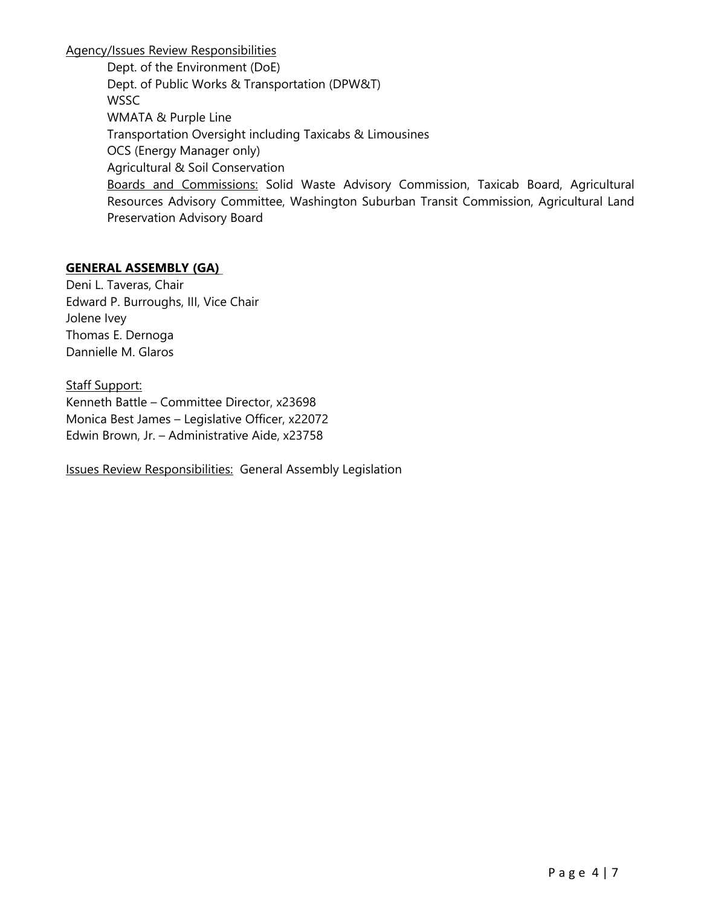Agency/Issues Review Responsibilities

Dept. of the Environment (DoE) Dept. of Public Works & Transportation (DPW&T) **WSSC** WMATA & Purple Line Transportation Oversight including Taxicabs & Limousines OCS (Energy Manager only) Agricultural & Soil Conservation Boards and Commissions: Solid Waste Advisory Commission, Taxicab Board, Agricultural Resources Advisory Committee, Washington Suburban Transit Commission, Agricultural Land Preservation Advisory Board

# **GENERAL ASSEMBLY (GA)**

Deni L. Taveras, Chair Edward P. Burroughs, III, Vice Chair Jolene Ivey Thomas E. Dernoga Dannielle M. Glaros

Staff Support: Kenneth Battle – Committee Director, x23698 Monica Best James – Legislative Officer, x22072 Edwin Brown, Jr. – Administrative Aide, x23758

Issues Review Responsibilities: General Assembly Legislation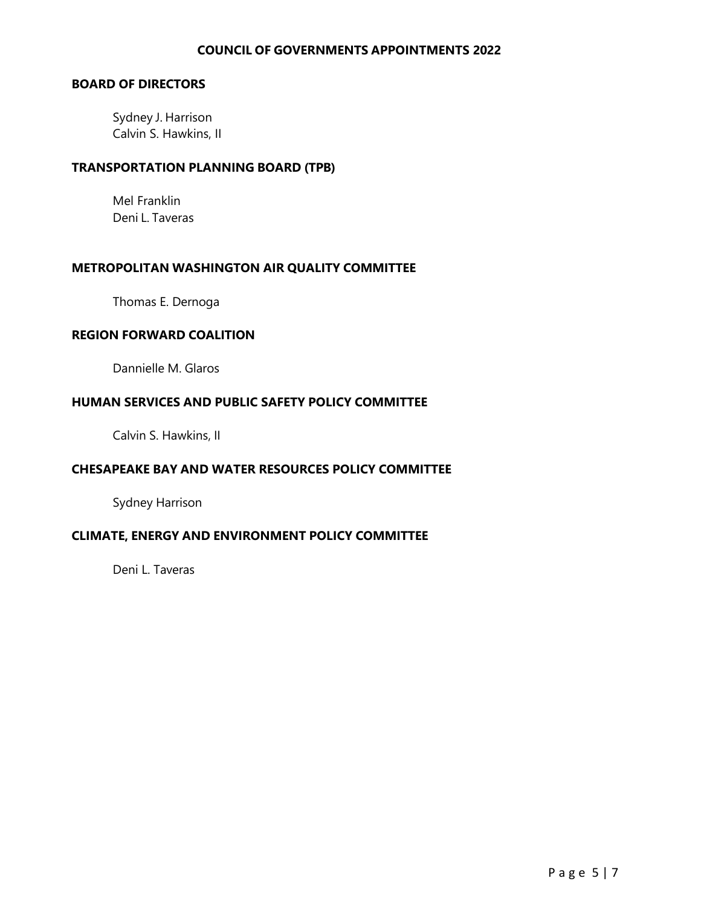#### **COUNCIL OF GOVERNMENTS APPOINTMENTS 2022**

# **BOARD OF DIRECTORS**

Sydney J. Harrison Calvin S. Hawkins, II

#### **TRANSPORTATION PLANNING BOARD (TPB)**

Mel Franklin Deni L. Taveras

#### **METROPOLITAN WASHINGTON AIR QUALITY COMMITTEE**

Thomas E. Dernoga

## **REGION FORWARD COALITION**

Dannielle M. Glaros

#### **HUMAN SERVICES AND PUBLIC SAFETY POLICY COMMITTEE**

Calvin S. Hawkins, II

## **CHESAPEAKE BAY AND WATER RESOURCES POLICY COMMITTEE**

Sydney Harrison

## **CLIMATE, ENERGY AND ENVIRONMENT POLICY COMMITTEE**

Deni L. Taveras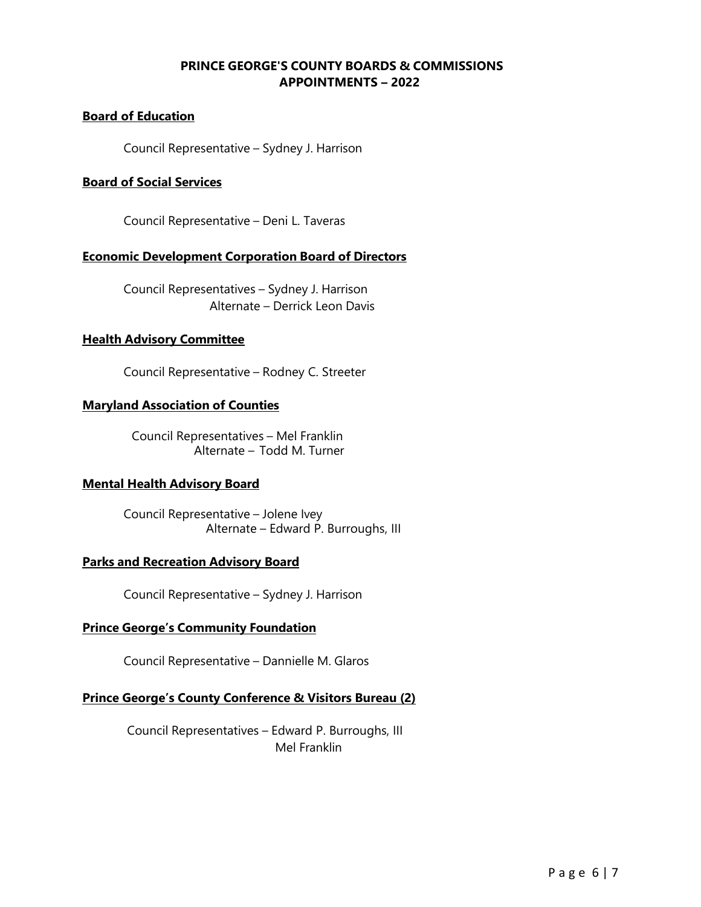# **PRINCE GEORGE'S COUNTY BOARDS & COMMISSIONS APPOINTMENTS – 2022**

# **Board of Education**

Council Representative – Sydney J. Harrison

#### **Board of Social Services**

Council Representative – Deni L. Taveras

#### **Economic Development Corporation Board of Directors**

Council Representatives – Sydney J. Harrison Alternate – Derrick Leon Davis

#### **Health Advisory Committee**

Council Representative – Rodney C. Streeter

#### **Maryland Association of Counties**

Council Representatives – Mel Franklin Alternate – Todd M. Turner

#### **Mental Health Advisory Board**

Council Representative – Jolene Ivey Alternate – Edward P. Burroughs, III

#### **Parks and Recreation Advisory Board**

Council Representative – Sydney J. Harrison

#### **Prince George's Community Foundation**

Council Representative – Dannielle M. Glaros

## **Prince George's County Conference & Visitors Bureau (2)**

Council Representatives – Edward P. Burroughs, III Mel Franklin